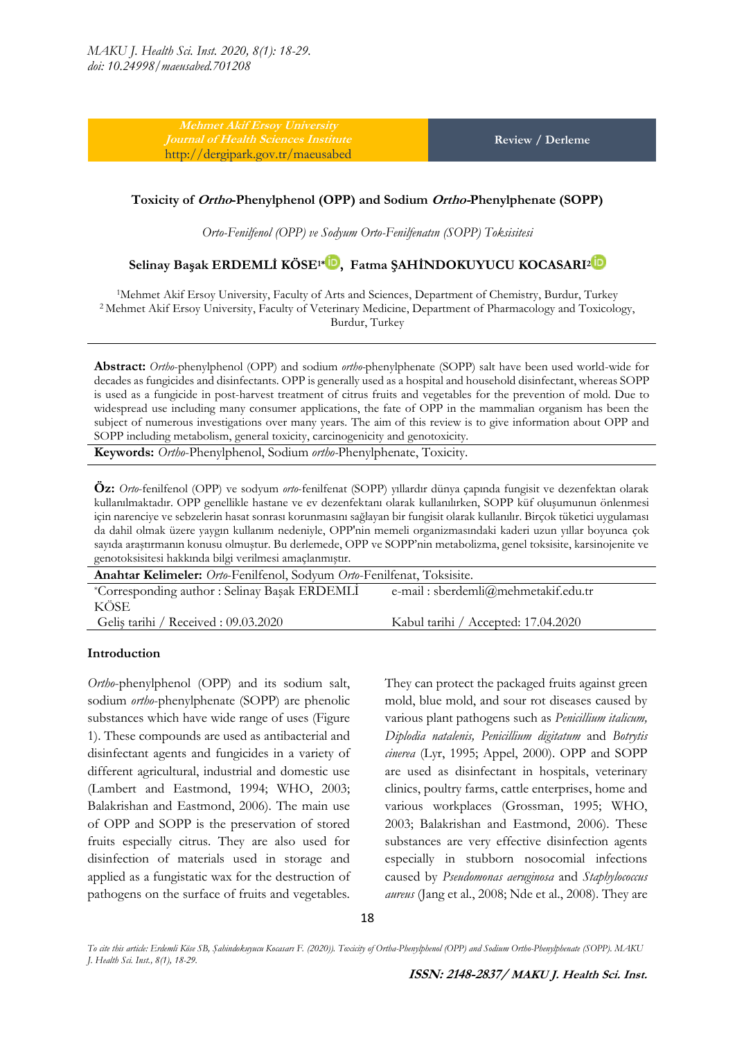**Mehmet Akif Ersoy University**  <http://dergipark.gov.tr/maeusabed>

**Review / Derleme**

#### **Toxicity of Ortho-Phenylphenol (OPP) and Sodium Ortho-Phenylphenate (SOPP)**

*Orto-Fenilfenol (OPP) ve Sodyum Orto-Fenilfenatın (SOPP) Toksisitesi*

# **Selinay Başak ERDEMLİ KÖSE1[\\*](http://orcid.org/0000-0001-8986-585X) , Fatma ŞAHİNDOKUYUCU KOCASARI<sup>2</sup>**

<sup>1</sup>Mehmet Akif Ersoy University, Faculty of Arts and Sciences, Department of Chemistry, Burdur, Turkey <sup>2</sup> Mehmet Akif Ersoy University, Faculty of Veterinary Medicine, Department of Pharmacology and Toxicology, Burdur, Turkey

**Abstract:** *Ortho*-phenylphenol (OPP) and sodium *ortho-*phenylphenate (SOPP) salt have been used world-wide for decades as fungicides and disinfectants. OPP is generally used as a hospital and household disinfectant, whereas SOPP is used as a fungicide in post-harvest treatment of citrus fruits and vegetables for the prevention of mold. Due to widespread use including many consumer applications, the fate of OPP in the mammalian organism has been the subject of numerous investigations over many years. The aim of this review is to give information about OPP and SOPP including metabolism, general toxicity, carcinogenicity and genotoxicity.

**Keywords:** *Ortho*-Phenylphenol, Sodium *ortho-*Phenylphenate, Toxicity.

**Öz:** *Orto*-fenilfenol (OPP) ve sodyum *orto*-fenilfenat (SOPP) yıllardır dünya çapında fungisit ve dezenfektan olarak kullanılmaktadır. OPP genellikle hastane ve ev dezenfektanı olarak kullanılırken, SOPP küf oluşumunun önlenmesi için narenciye ve sebzelerin hasat sonrası korunmasını sağlayan bir fungisit olarak kullanılır. Birçok tüketici uygulaması da dahil olmak üzere yaygın kullanım nedeniyle, OPP'nin memeli organizmasındaki kaderi uzun yıllar boyunca çok sayıda araştırmanın konusu olmuştur. Bu derlemede, OPP ve SOPP'nin metabolizma, genel toksisite, karsinojenite ve genotoksisitesi hakkında bilgi verilmesi amaçlanmıştır.

| Anahtar Kelimeler: Orto-Fenilfenol, Sodyum Orto-Fenilfenat, Toksisite. |                                     |  |  |
|------------------------------------------------------------------------|-------------------------------------|--|--|
| *Corresponding author: Selinay Başak ERDEMLİ                           | e-mail: sberdemli@mehmetakif.edu.tr |  |  |
| KÖSE                                                                   |                                     |  |  |
| Gelis tarihi / Received : 09.03.2020                                   | Kabul tarihi / Accepted: 17.04.2020 |  |  |

#### **Introduction**

*Ortho*-phenylphenol (OPP) and its sodium salt, sodium *ortho*-phenylphenate (SOPP) are phenolic substances which have wide range of uses (Figure 1). These compounds are used as antibacterial and disinfectant agents and fungicides in a variety of different agricultural, industrial and domestic use (Lambert and Eastmond, 1994; WHO, 2003; Balakrishan and Eastmond, 2006). The main use of OPP and SOPP is the preservation of stored fruits especially citrus. They are also used for disinfection of materials used in storage and applied as a fungistatic wax for the destruction of pathogens on the surface of fruits and vegetables.

They can protect the packaged fruits against green mold, blue mold, and sour rot diseases caused by various plant pathogens such as *Penicillium italicum, Diplodia natalenis, Penicillium digitatum* and *Botrytis cinerea* (Lyr, 1995; Appel, 2000). OPP and SOPP are used as disinfectant in hospitals, veterinary clinics, poultry farms, cattle enterprises, home and various workplaces (Grossman, 1995; WHO, 2003; Balakrishan and Eastmond, 2006). These substances are very effective disinfection agents especially in stubborn nosocomial infections caused by *Pseudomonas aeruginosa* and *Staphylococcus aureus* (Jang et al., 2008; Nde et al., 2008). They are

*To cite this article: Erdemli Köse SB, Şahindokuyucu Kocasarı F. (2020)). Toxicity of Ortha-Phenylphenol (OPP) and Sodium Ortho-Phenylphenate (SOPP). MAKU J. Health Sci. Inst., 8(1), 18-29.*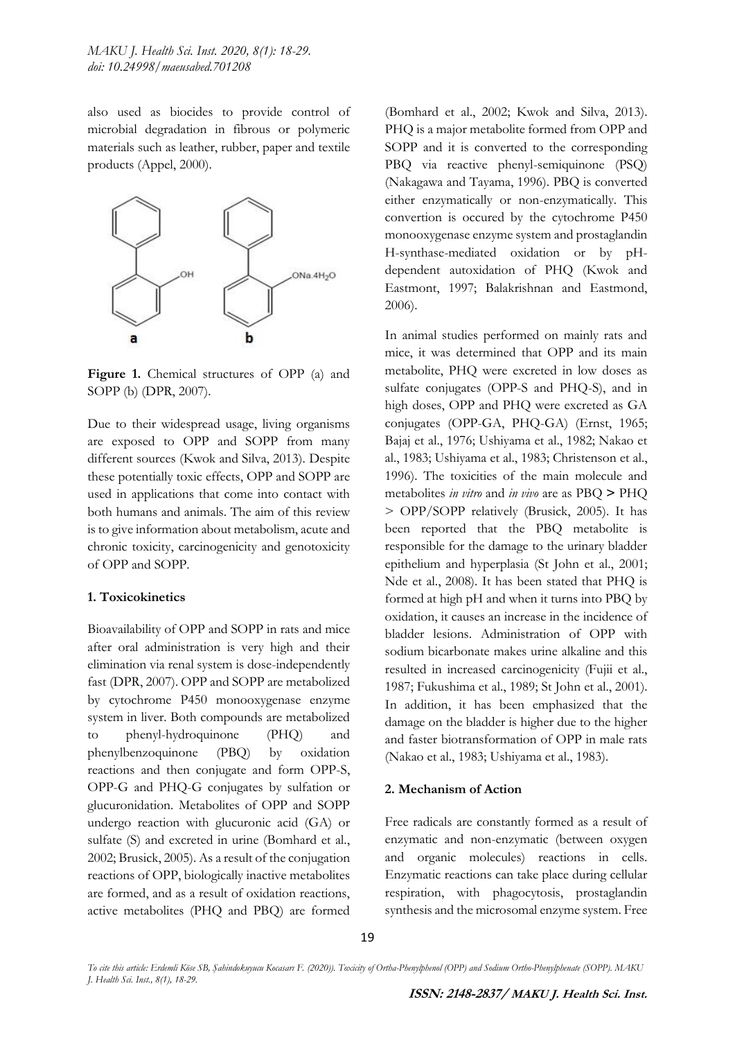also used as biocides to provide control of microbial degradation in fibrous or polymeric materials such as leather, rubber, paper and textile products (Appel, 2000).



Figure 1. Chemical structures of OPP (a) and SOPP (b) (DPR, 2007).

Due to their widespread usage, living organisms are exposed to OPP and SOPP from many different sources (Kwok and Silva, 2013). Despite these potentially toxic effects, OPP and SOPP are used in applications that come into contact with both humans and animals. The aim of this review is to give information about metabolism, acute and chronic toxicity, carcinogenicity and genotoxicity of OPP and SOPP.

#### **1. Toxicokinetics**

Bioavailability of OPP and SOPP in rats and mice after oral administration is very high and their elimination via renal system is dose-independently fast (DPR, 2007). OPP and SOPP are metabolized by cytochrome P450 monooxygenase enzyme system in liver. Both compounds are metabolized to phenyl-hydroquinone (PHQ) and phenylbenzoquinone (PBQ) by oxidation reactions and then conjugate and form OPP-S, OPP-G and PHQ-G conjugates by sulfation or glucuronidation. Metabolites of OPP and SOPP undergo reaction with glucuronic acid (GA) or sulfate (S) and excreted in urine (Bomhard et al., 2002; Brusick, 2005). As a result of the conjugation reactions of OPP, biologically inactive metabolites are formed, and as a result of oxidation reactions, active metabolites (PHQ and PBQ) are formed

(Bomhard et al., 2002; Kwok and Silva, 2013). PHQ is a major metabolite formed from OPP and SOPP and it is converted to the corresponding PBQ via reactive phenyl-semiquinone (PSQ) (Nakagawa and Tayama, 1996). PBQ is converted either enzymatically or non-enzymatically. This convertion is occured by the cytochrome P450 monooxygenase enzyme system and prostaglandin H-synthase-mediated oxidation or by pHdependent autoxidation of PHQ (Kwok and Eastmont, 1997; Balakrishnan and Eastmond, 2006).

In animal studies performed on mainly rats and mice, it was determined that OPP and its main metabolite, PHQ were excreted in low doses as sulfate conjugates (OPP-S and PHO-S), and in high doses, OPP and PHQ were excreted as GA conjugates (OPP-GA, PHQ-GA) (Ernst, 1965; Bajaj et al., 1976; Ushiyama et al., 1982; Nakao et al., 1983; Ushiyama et al., 1983; Christenson et al., 1996). The toxicities of the main molecule and metabolites *in vitro* and *in vivo* are as PBQ **>** PHQ > OPP/SOPP relatively (Brusick, 2005). It has been reported that the PBQ metabolite is responsible for the damage to the urinary bladder epithelium and hyperplasia (St John et al., 2001; Nde et al., 2008). It has been stated that PHQ is formed at high pH and when it turns into PBQ by oxidation, it causes an increase in the incidence of bladder lesions. Administration of OPP with sodium bicarbonate makes urine alkaline and this resulted in increased carcinogenicity (Fujii et al., 1987; Fukushima et al., 1989; St John et al., 2001). In addition, it has been emphasized that the damage on the bladder is higher due to the higher and faster biotransformation of OPP in male rats (Nakao et al., 1983; Ushiyama et al., 1983).

#### **2. Mechanism of Action**

Free radicals are constantly formed as a result of enzymatic and non-enzymatic (between oxygen and organic molecules) reactions in cells. Enzymatic reactions can take place during cellular respiration, with phagocytosis, prostaglandin synthesis and the microsomal enzyme system. Free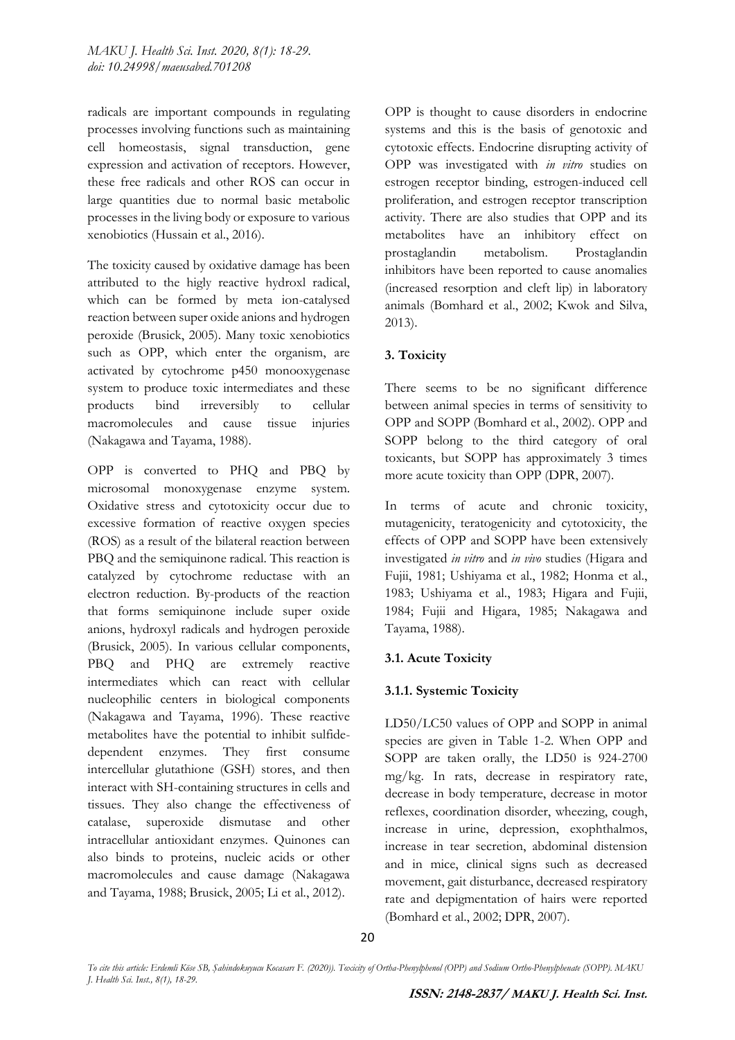radicals are important compounds in regulating processes involving functions such as maintaining cell homeostasis, signal transduction, gene expression and activation of receptors. However, these free radicals and other ROS can occur in large quantities due to normal basic metabolic processes in the living body or exposure to various xenobiotics (Hussain et al., 2016).

The toxicity caused by oxidative damage has been attributed to the higly reactive hydroxl radical, which can be formed by meta ion-catalysed reaction between super oxide anions and hydrogen peroxide (Brusick, 2005). Many toxic xenobiotics such as OPP, which enter the organism, are activated by cytochrome p450 monooxygenase system to produce toxic intermediates and these products bind irreversibly to cellular macromolecules and cause tissue injuries (Nakagawa and Tayama, 1988).

OPP is converted to PHQ and PBQ by microsomal monoxygenase enzyme system. Oxidative stress and cytotoxicity occur due to excessive formation of reactive oxygen species (ROS) as a result of the bilateral reaction between PBQ and the semiquinone radical. This reaction is catalyzed by cytochrome reductase with an electron reduction. By-products of the reaction that forms semiquinone include super oxide anions, hydroxyl radicals and hydrogen peroxide (Brusick, 2005). In various cellular components, PBQ and PHQ are extremely reactive intermediates which can react with cellular nucleophilic centers in biological components (Nakagawa and Tayama, 1996). These reactive metabolites have the potential to inhibit sulfidedependent enzymes. They first consume intercellular glutathione (GSH) stores, and then interact with SH-containing structures in cells and tissues. They also change the effectiveness of catalase, superoxide dismutase and other intracellular antioxidant enzymes. Quinones can also binds to proteins, nucleic acids or other macromolecules and cause damage (Nakagawa and Tayama, 1988; Brusick, 2005; Li et al., 2012).

OPP is thought to cause disorders in endocrine systems and this is the basis of genotoxic and cytotoxic effects. Endocrine disrupting activity of OPP was investigated with *in vitro* studies on estrogen receptor binding, estrogen-induced cell proliferation, and estrogen receptor transcription activity. There are also studies that OPP and its metabolites have an inhibitory effect on prostaglandin metabolism. Prostaglandin inhibitors have been reported to cause anomalies (increased resorption and cleft lip) in laboratory animals (Bomhard et al., 2002; Kwok and Silva, 2013).

# **3. Toxicity**

There seems to be no significant difference between animal species in terms of sensitivity to OPP and SOPP (Bomhard et al., 2002). OPP and SOPP belong to the third category of oral toxicants, but SOPP has approximately 3 times more acute toxicity than OPP (DPR, 2007).

In terms of acute and chronic toxicity, mutagenicity, teratogenicity and cytotoxicity, the effects of OPP and SOPP have been extensively investigated *in vitro* and *in vivo* studies (Higara and Fujii, 1981; Ushiyama et al., 1982; Honma et al., 1983; Ushiyama et al., 1983; Higara and Fujii, 1984; Fujii and Higara, 1985; Nakagawa and Tayama, 1988).

# **3.1. Acute Toxicity**

# **3.1.1. Systemic Toxicity**

LD50/LC50 values of OPP and SOPP in animal species are given in Table 1-2. When OPP and SOPP are taken orally, the LD50 is 924-2700 mg/kg. In rats, decrease in respiratory rate, decrease in body temperature, decrease in motor reflexes, coordination disorder, wheezing, cough, increase in urine, depression, exophthalmos, increase in tear secretion, abdominal distension and in mice, clinical signs such as decreased movement, gait disturbance, decreased respiratory rate and depigmentation of hairs were reported (Bomhard et al., 2002; DPR, 2007).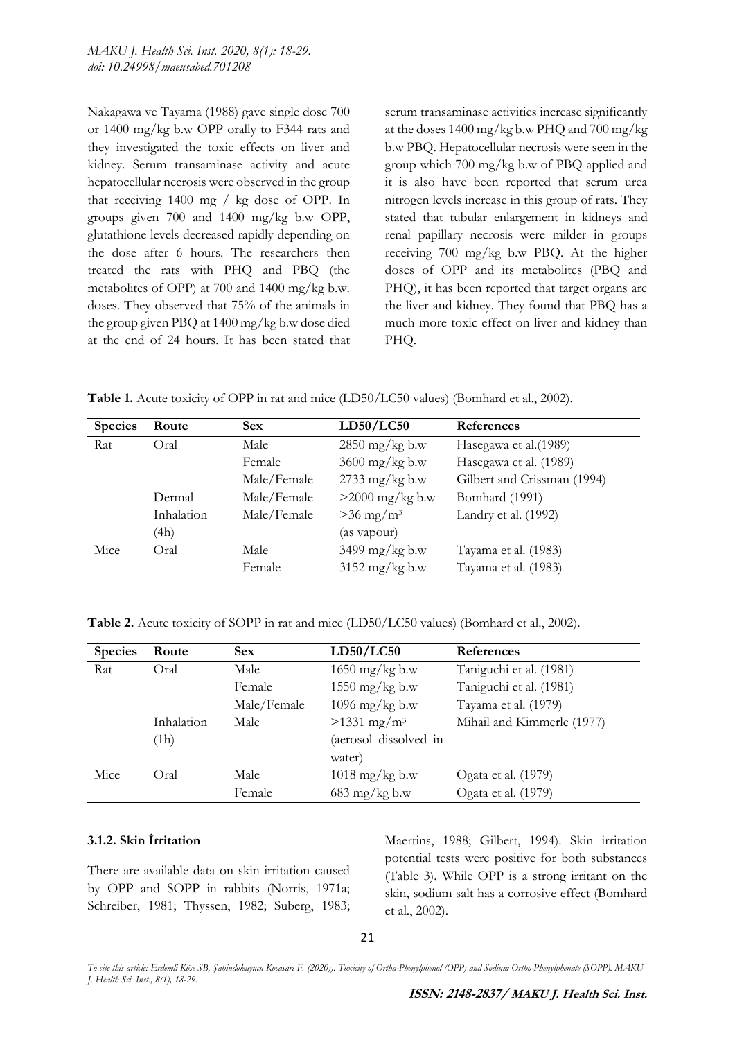Nakagawa ve Tayama (1988) gave single dose 700 or 1400 mg/kg b.w OPP orally to F344 rats and they investigated the toxic effects on liver and kidney. Serum transaminase activity and acute hepatocellular necrosis were observed in the group that receiving 1400 mg / kg dose of OPP. In groups given 700 and 1400 mg/kg b.w OPP, glutathione levels decreased rapidly depending on the dose after 6 hours. The researchers then treated the rats with PHQ and PBQ (the metabolites of OPP) at 700 and 1400 mg/kg b.w. doses. They observed that 75% of the animals in the group given PBQ at 1400 mg/kg b.w dose died at the end of 24 hours. It has been stated that serum transaminase activities increase significantly at the doses 1400 mg/kg b.w PHQ and 700 mg/kg b.w PBQ. Hepatocellular necrosis were seen in the group which 700 mg/kg b.w of PBQ applied and it is also have been reported that serum urea nitrogen levels increase in this group of rats. They stated that tubular enlargement in kidneys and renal papillary necrosis were milder in groups receiving 700 mg/kg b.w PBQ. At the higher doses of OPP and its metabolites (PBQ and PHQ), it has been reported that target organs are the liver and kidney. They found that PBQ has a much more toxic effect on liver and kidney than PHQ.

**Table 1.** Acute toxicity of OPP in rat and mice (LD50/LC50 values) (Bomhard et al., 2002).

| <b>Species</b> | Route      | <b>Sex</b>  | LD50/LC50                | <b>References</b>           |
|----------------|------------|-------------|--------------------------|-----------------------------|
| Rat            | Oral       | Male        | $2850$ mg/kg b.w         | Hasegawa et al.(1989)       |
|                |            | Female      | $3600$ mg/kg b.w         | Hasegawa et al. (1989)      |
|                |            | Male/Female | $2733$ mg/kg b.w         | Gilbert and Crissman (1994) |
|                | Dermal     | Male/Female | $>2000$ mg/kg b.w        | Bomhard (1991)              |
|                | Inhalation | Male/Female | $>36$ mg/m <sup>3</sup>  | Landry et al. (1992)        |
|                | (4h)       |             | (as vapour)              |                             |
| Mice           | Oral       | Male        | $3499 \text{ mg/kg}$ b.w | Tayama et al. (1983)        |
|                |            | Female      | $3152 \text{ mg/kg}$ b.w | Tayama et al. (1983)        |

**Table 2.** Acute toxicity of SOPP in rat and mice (LD50/LC50 values) (Bomhard et al., 2002).

| <b>Species</b> | Route      | <b>Sex</b>  | LD50/LC50                 | References                 |
|----------------|------------|-------------|---------------------------|----------------------------|
| Rat            | Oral       | Male        | $1650$ mg/kg b.w          | Taniguchi et al. (1981)    |
|                |            | Female      | 1550 mg/kg b.w            | Taniguchi et al. (1981)    |
|                |            | Male/Female | 1096 mg/kg b.w            | Tayama et al. (1979)       |
|                | Inhalation | Male        | $>1331$ mg/m <sup>3</sup> | Mihail and Kimmerle (1977) |
|                | (1h)       |             | (aerosol dissolved in     |                            |
|                |            |             | water)                    |                            |
| Mice           | Oral       | Male        | $1018$ mg/kg b.w          | Ogata et al. (1979)        |
|                |            | Female      | $683$ mg/kg b.w           | Ogata et al. (1979)        |

### **3.1.2. Skin İrritation**

There are available data on skin irritation caused by OPP and SOPP in rabbits (Norris, 1971a; Schreiber, 1981; Thyssen, 1982; Suberg, 1983; Maertins, 1988; Gilbert, 1994). Skin irritation potential tests were positive for both substances (Table 3). While OPP is a strong irritant on the skin, sodium salt has a corrosive effect (Bomhard et al., 2002).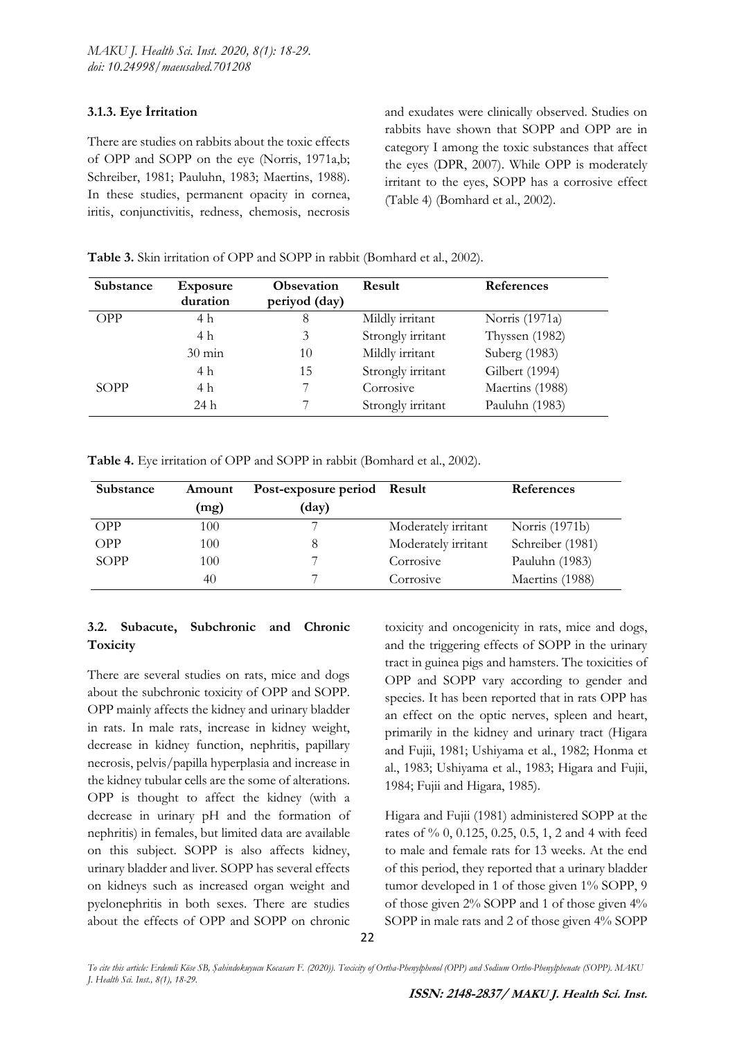# **3.1.3. Eye İrritation**

There are studies on rabbits about the toxic effects of OPP and SOPP on the eye (Norris, 1971a,b; Schreiber, 1981; Pauluhn, 1983; Maertins, 1988). In these studies, permanent opacity in cornea, iritis, conjunctivitis, redness, chemosis, necrosis

and exudates were clinically observed. Studies on rabbits have shown that SOPP and OPP are in category I among the toxic substances that affect the eyes (DPR, 2007). While OPP is moderately irritant to the eyes, SOPP has a corrosive effect (Table 4) (Bomhard et al., 2002).

| Substance   | <b>Exposure</b><br>duration | <b>Obsevation</b><br>periyod (day) | <b>Result</b>     | <b>References</b> |
|-------------|-----------------------------|------------------------------------|-------------------|-------------------|
| <b>OPP</b>  | 4 h                         | 8                                  | Mildly irritant   | Norris (1971a)    |
|             | 4 h                         |                                    | Strongly irritant | Thyssen (1982)    |
|             | $30 \text{ min}$            | 10                                 | Mildly irritant   | Suberg (1983)     |
|             | 4 h                         | 15                                 | Strongly irritant | Gilbert (1994)    |
| <b>SOPP</b> | 4 h                         |                                    | Corrosive         | Maertins (1988)   |
|             | 24 h                        |                                    | Strongly irritant | Pauluhn (1983)    |

**Table 3.** Skin irritation of OPP and SOPP in rabbit (Bomhard et al., 2002).

|  | Table 4. Eye irritation of OPP and SOPP in rabbit (Bomhard et al., 2002). |  |
|--|---------------------------------------------------------------------------|--|
|  |                                                                           |  |

| Substance   | Amount | Post-exposure period Result |                     | References       |
|-------------|--------|-----------------------------|---------------------|------------------|
|             | (mg)   | $\text{(day)}$              |                     |                  |
| <b>OPP</b>  | 100    |                             | Moderately irritant | Norris (1971b)   |
| <b>OPP</b>  | 100    |                             | Moderately irritant | Schreiber (1981) |
| <b>SOPP</b> | 100    |                             | Corrosive           | Pauluhn (1983)   |
|             | 40     |                             | Corrosive           | Maertins (1988)  |

# **3.2. Subacute, Subchronic and Chronic Toxicity**

There are several studies on rats, mice and dogs about the subchronic toxicity of OPP and SOPP. OPP mainly affects the kidney and urinary bladder in rats. In male rats, increase in kidney weight, decrease in kidney function, nephritis, papillary necrosis, pelvis/papilla hyperplasia and increase in the kidney tubular cells are the some of alterations. OPP is thought to affect the kidney (with a decrease in urinary pH and the formation of nephritis) in females, but limited data are available on this subject. SOPP is also affects kidney, urinary bladder and liver. SOPP has several effects on kidneys such as increased organ weight and pyelonephritis in both sexes. There are studies about the effects of OPP and SOPP on chronic

toxicity and oncogenicity in rats, mice and dogs, and the triggering effects of SOPP in the urinary tract in guinea pigs and hamsters. The toxicities of OPP and SOPP vary according to gender and species. It has been reported that in rats OPP has an effect on the optic nerves, spleen and heart, primarily in the kidney and urinary tract (Higara and Fujii, 1981; Ushiyama et al., 1982; Honma et al., 1983; Ushiyama et al., 1983; Higara and Fujii, 1984; Fujii and Higara, 1985).

Higara and Fujii (1981) administered SOPP at the rates of % 0, 0.125, 0.25, 0.5, 1, 2 and 4 with feed to male and female rats for 13 weeks. At the end of this period, they reported that a urinary bladder tumor developed in 1 of those given 1% SOPP, 9 of those given 2% SOPP and 1 of those given 4% SOPP in male rats and 2 of those given 4% SOPP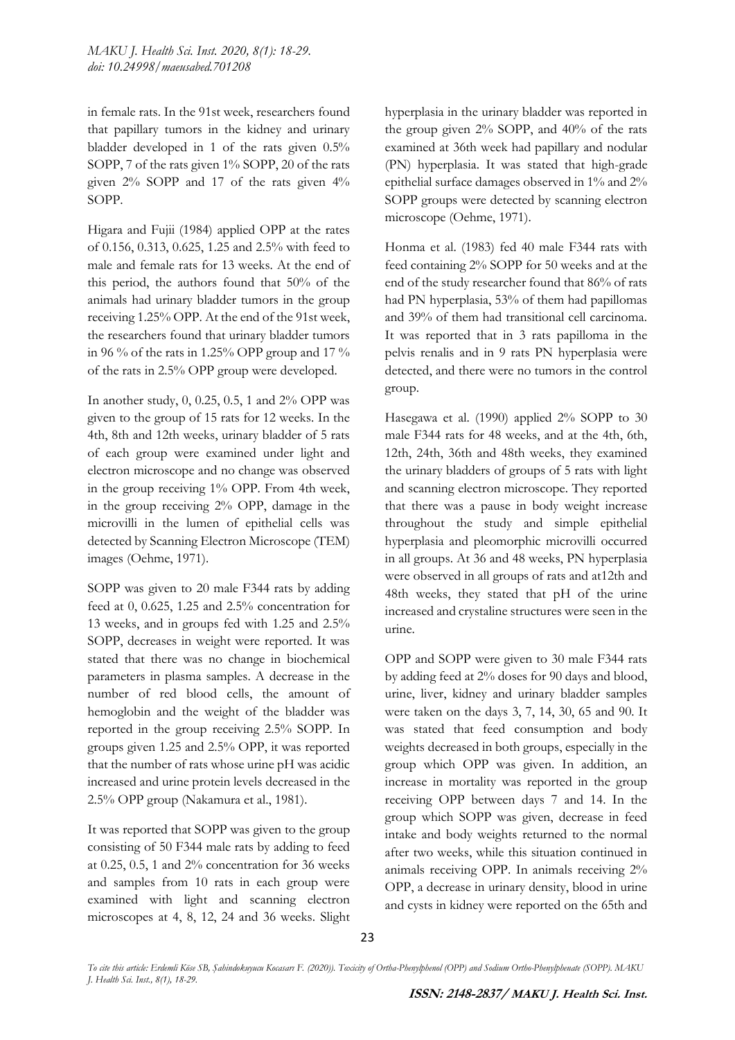in female rats. In the 91st week, researchers found that papillary tumors in the kidney and urinary bladder developed in 1 of the rats given 0.5% SOPP, 7 of the rats given 1% SOPP, 20 of the rats given 2% SOPP and 17 of the rats given 4% SOPP.

Higara and Fujii (1984) applied OPP at the rates of 0.156, 0.313, 0.625, 1.25 and 2.5% with feed to male and female rats for 13 weeks. At the end of this period, the authors found that 50% of the animals had urinary bladder tumors in the group receiving 1.25% OPP. At the end of the 91st week, the researchers found that urinary bladder tumors in 96 % of the rats in 1.25% OPP group and 17 % of the rats in 2.5% OPP group were developed.

In another study, 0, 0.25, 0.5, 1 and 2% OPP was given to the group of 15 rats for 12 weeks. In the 4th, 8th and 12th weeks, urinary bladder of 5 rats of each group were examined under light and electron microscope and no change was observed in the group receiving 1% OPP. From 4th week, in the group receiving 2% OPP, damage in the microvilli in the lumen of epithelial cells was detected by Scanning Electron Microscope (TEM) images (Oehme, 1971).

SOPP was given to 20 male F344 rats by adding feed at 0, 0.625, 1.25 and 2.5% concentration for 13 weeks, and in groups fed with 1.25 and 2.5% SOPP, decreases in weight were reported. It was stated that there was no change in biochemical parameters in plasma samples. A decrease in the number of red blood cells, the amount of hemoglobin and the weight of the bladder was reported in the group receiving 2.5% SOPP. In groups given 1.25 and 2.5% OPP, it was reported that the number of rats whose urine pH was acidic increased and urine protein levels decreased in the 2.5% OPP group (Nakamura et al., 1981).

It was reported that SOPP was given to the group consisting of 50 F344 male rats by adding to feed at 0.25, 0.5, 1 and 2% concentration for 36 weeks and samples from 10 rats in each group were examined with light and scanning electron microscopes at 4, 8, 12, 24 and 36 weeks. Slight hyperplasia in the urinary bladder was reported in the group given 2% SOPP, and 40% of the rats examined at 36th week had papillary and nodular (PN) hyperplasia. It was stated that high-grade epithelial surface damages observed in 1% and 2% SOPP groups were detected by scanning electron microscope (Oehme, 1971).

Honma et al. (1983) fed 40 male F344 rats with feed containing 2% SOPP for 50 weeks and at the end of the study researcher found that 86% of rats had PN hyperplasia, 53% of them had papillomas and 39% of them had transitional cell carcinoma. It was reported that in 3 rats papilloma in the pelvis renalis and in 9 rats PN hyperplasia were detected, and there were no tumors in the control group.

Hasegawa et al. (1990) applied 2% SOPP to 30 male F344 rats for 48 weeks, and at the 4th, 6th, 12th, 24th, 36th and 48th weeks, they examined the urinary bladders of groups of 5 rats with light and scanning electron microscope. They reported that there was a pause in body weight increase throughout the study and simple epithelial hyperplasia and pleomorphic microvilli occurred in all groups. At 36 and 48 weeks, PN hyperplasia were observed in all groups of rats and at12th and 48th weeks, they stated that pH of the urine increased and crystaline structures were seen in the urine.

OPP and SOPP were given to 30 male F344 rats by adding feed at 2% doses for 90 days and blood, urine, liver, kidney and urinary bladder samples were taken on the days 3, 7, 14, 30, 65 and 90. It was stated that feed consumption and body weights decreased in both groups, especially in the group which OPP was given. In addition, an increase in mortality was reported in the group receiving OPP between days 7 and 14. In the group which SOPP was given, decrease in feed intake and body weights returned to the normal after two weeks, while this situation continued in animals receiving OPP. In animals receiving 2% OPP, a decrease in urinary density, blood in urine and cysts in kidney were reported on the 65th and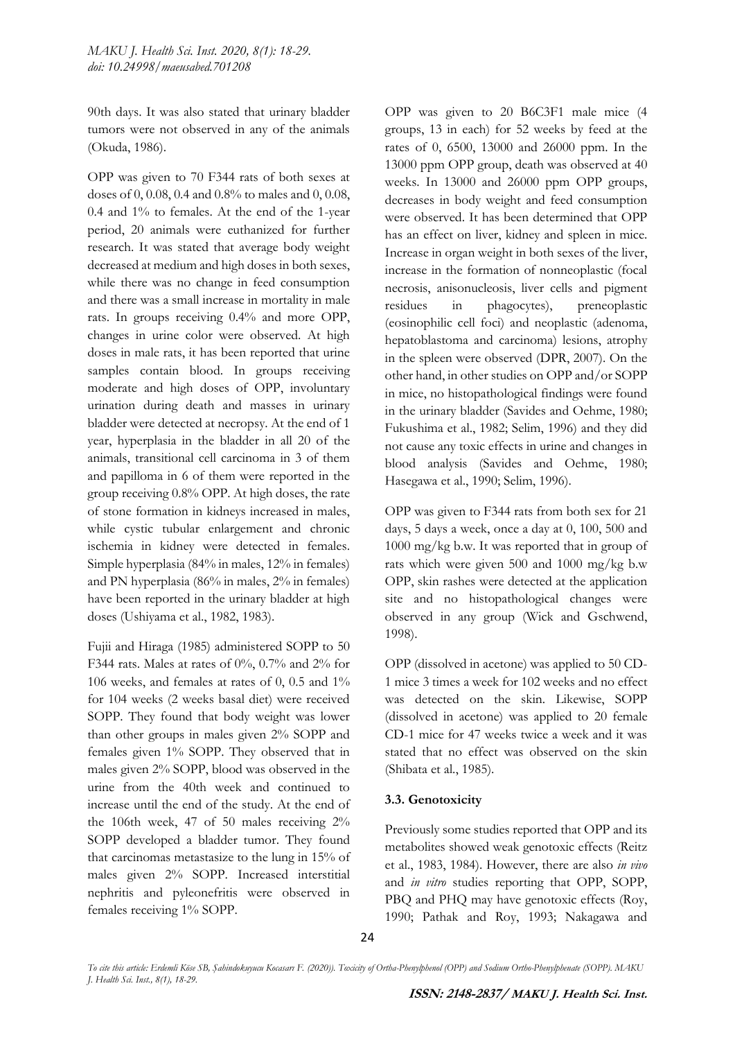90th days. It was also stated that urinary bladder tumors were not observed in any of the animals (Okuda, 1986).

OPP was given to 70 F344 rats of both sexes at doses of 0, 0.08, 0.4 and 0.8% to males and 0, 0.08, 0.4 and 1% to females. At the end of the 1-year period, 20 animals were euthanized for further research. It was stated that average body weight decreased at medium and high doses in both sexes, while there was no change in feed consumption and there was a small increase in mortality in male rats. In groups receiving 0.4% and more OPP, changes in urine color were observed. At high doses in male rats, it has been reported that urine samples contain blood. In groups receiving moderate and high doses of OPP, involuntary urination during death and masses in urinary bladder were detected at necropsy. At the end of 1 year, hyperplasia in the bladder in all 20 of the animals, transitional cell carcinoma in 3 of them and papilloma in 6 of them were reported in the group receiving 0.8% OPP. At high doses, the rate of stone formation in kidneys increased in males, while cystic tubular enlargement and chronic ischemia in kidney were detected in females. Simple hyperplasia (84% in males, 12% in females) and PN hyperplasia (86% in males, 2% in females) have been reported in the urinary bladder at high doses (Ushiyama et al., 1982, 1983).

Fujii and Hiraga (1985) administered SOPP to 50 F344 rats. Males at rates of 0%, 0.7% and 2% for 106 weeks, and females at rates of 0, 0.5 and 1% for 104 weeks (2 weeks basal diet) were received SOPP. They found that body weight was lower than other groups in males given 2% SOPP and females given 1% SOPP. They observed that in males given 2% SOPP, blood was observed in the urine from the 40th week and continued to increase until the end of the study. At the end of the 106th week, 47 of 50 males receiving 2% SOPP developed a bladder tumor. They found that carcinomas metastasize to the lung in 15% of males given 2% SOPP. Increased interstitial nephritis and pyleonefritis were observed in females receiving 1% SOPP.

OPP was given to 20 B6C3F1 male mice (4 groups, 13 in each) for 52 weeks by feed at the rates of 0, 6500, 13000 and 26000 ppm. In the 13000 ppm OPP group, death was observed at 40 weeks. In 13000 and 26000 ppm OPP groups, decreases in body weight and feed consumption were observed. It has been determined that OPP has an effect on liver, kidney and spleen in mice. Increase in organ weight in both sexes of the liver, increase in the formation of nonneoplastic (focal necrosis, anisonucleosis, liver cells and pigment residues in phagocytes), preneoplastic (eosinophilic cell foci) and neoplastic (adenoma, hepatoblastoma and carcinoma) lesions, atrophy in the spleen were observed (DPR, 2007). On the other hand, in other studies on OPP and/or SOPP in mice, no histopathological findings were found in the urinary bladder (Savides and Oehme, 1980; Fukushima et al., 1982; Selim, 1996) and they did not cause any toxic effects in urine and changes in blood analysis (Savides and Oehme, 1980; Hasegawa et al., 1990; Selim, 1996).

OPP was given to F344 rats from both sex for 21 days, 5 days a week, once a day at 0, 100, 500 and 1000 mg/kg b.w. It was reported that in group of rats which were given 500 and 1000 mg/kg b.w OPP, skin rashes were detected at the application site and no histopathological changes were observed in any group (Wick and Gschwend, 1998).

OPP (dissolved in acetone) was applied to 50 CD-1 mice 3 times a week for 102 weeks and no effect was detected on the skin. Likewise, SOPP (dissolved in acetone) was applied to 20 female CD-1 mice for 47 weeks twice a week and it was stated that no effect was observed on the skin (Shibata et al., 1985).

### **3.3. Genotoxicity**

Previously some studies reported that OPP and its metabolites showed weak genotoxic effects (Reitz et al., 1983, 1984). However, there are also *in vivo* and *in vitro* studies reporting that OPP, SOPP, PBQ and PHQ may have genotoxic effects (Roy, 1990; Pathak and Roy, 1993; Nakagawa and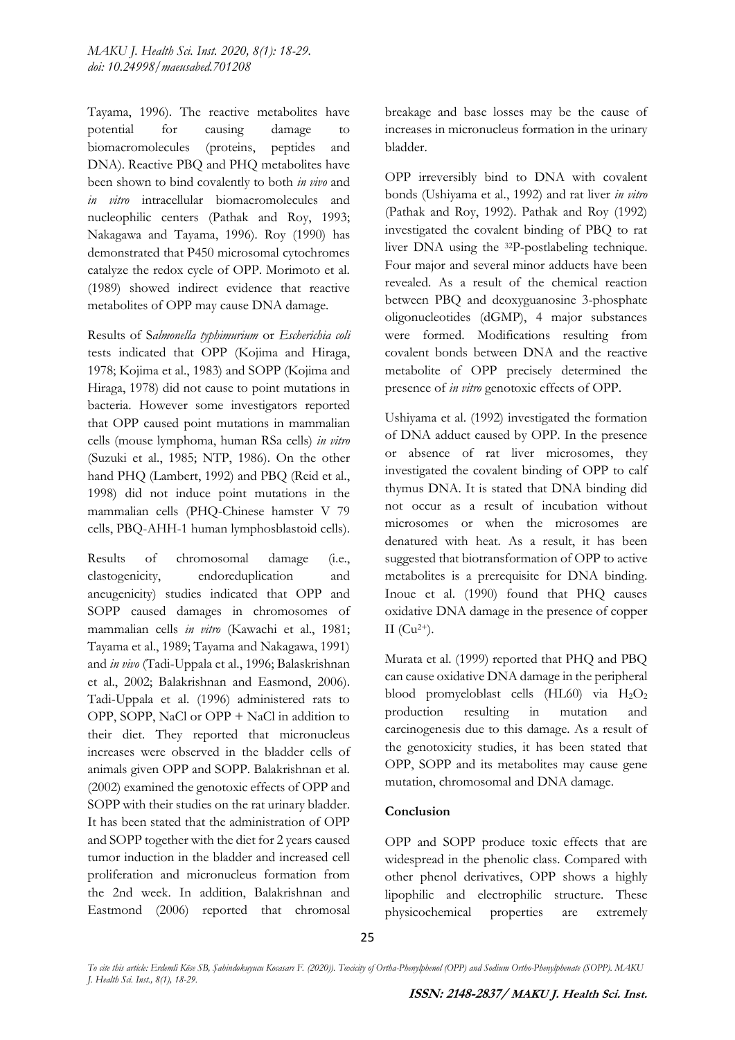Tayama, 1996). The reactive metabolites have potential for causing damage to biomacromolecules (proteins, peptides and DNA). Reactive PBQ and PHQ metabolites have been shown to bind covalently to both *in vivo* and *in vitro* intracellular biomacromolecules and nucleophilic centers (Pathak and Roy, 1993; Nakagawa and Tayama, 1996)*.* Roy (1990) has demonstrated that P450 microsomal cytochromes catalyze the redox cycle of OPP. Morimoto et al. (1989) showed indirect evidence that reactive metabolites of OPP may cause DNA damage.

Results of S*almonella typhimurium* or *Escherichia coli*  tests indicated that OPP (Kojima and Hiraga, 1978; Kojima et al., 1983) and SOPP (Kojima and Hiraga, 1978) did not cause to point mutations in bacteria. However some investigators reported that OPP caused point mutations in mammalian cells (mouse lymphoma, human RSa cells) *in vitro*  (Suzuki et al., 1985; NTP, 1986). On the other hand PHQ (Lambert, 1992) and PBQ (Reid et al., 1998) did not induce point mutations in the mammalian cells (PHQ-Chinese hamster V 79 cells, PBQ-AHH-1 human lymphosblastoid cells).

Results of chromosomal damage (i.e., clastogenicity, endoreduplication and aneugenicity) studies indicated that OPP and SOPP caused damages in chromosomes of mammalian cells *in vitro* (Kawachi et al., 1981; Tayama et al., 1989; Tayama and Nakagawa, 1991) and *in vivo* (Tadi-Uppala et al., 1996; Balaskrishnan et al., 2002; Balakrishnan and Easmond, 2006). Tadi-Uppala et al. (1996) administered rats to OPP, SOPP, NaCl or OPP + NaCl in addition to their diet. They reported that micronucleus increases were observed in the bladder cells of animals given OPP and SOPP. Balakrishnan et al. (2002) examined the genotoxic effects of OPP and SOPP with their studies on the rat urinary bladder. It has been stated that the administration of OPP and SOPP together with the diet for 2 years caused tumor induction in the bladder and increased cell proliferation and micronucleus formation from the 2nd week. In addition, Balakrishnan and Eastmond (2006) reported that chromosal

breakage and base losses may be the cause of increases in micronucleus formation in the urinary bladder.

OPP irreversibly bind to DNA with covalent bonds (Ushiyama et al., 1992) and rat liver *in vitro* (Pathak and Roy, 1992). Pathak and Roy (1992) investigated the covalent binding of PBQ to rat liver DNA using the 32P-postlabeling technique. Four major and several minor adducts have been revealed. As a result of the chemical reaction between PBQ and deoxyguanosine 3-phosphate oligonucleotides (dGMP), 4 major substances were formed. Modifications resulting from covalent bonds between DNA and the reactive metabolite of OPP precisely determined the presence of *in vitro* genotoxic effects of OPP.

Ushiyama et al. (1992) investigated the formation of DNA adduct caused by OPP. In the presence or absence of rat liver microsomes, they investigated the covalent binding of OPP to calf thymus DNA. It is stated that DNA binding did not occur as a result of incubation without microsomes or when the microsomes are denatured with heat. As a result, it has been suggested that biotransformation of OPP to active metabolites is a prerequisite for DNA binding. Inoue et al. (1990) found that PHQ causes oxidative DNA damage in the presence of copper II  $(Cu^{2+})$ .

Murata et al. (1999) reported that PHQ and PBQ can cause oxidative DNA damage in the peripheral blood promyeloblast cells  $(HL60)$  via  $H_2O_2$ production resulting in mutation and carcinogenesis due to this damage. As a result of the genotoxicity studies, it has been stated that OPP, SOPP and its metabolites may cause gene mutation, chromosomal and DNA damage.

### **Conclusion**

OPP and SOPP produce toxic effects that are widespread in the phenolic class. Compared with other phenol derivatives, OPP shows a highly lipophilic and electrophilic structure. These physicochemical properties are extremely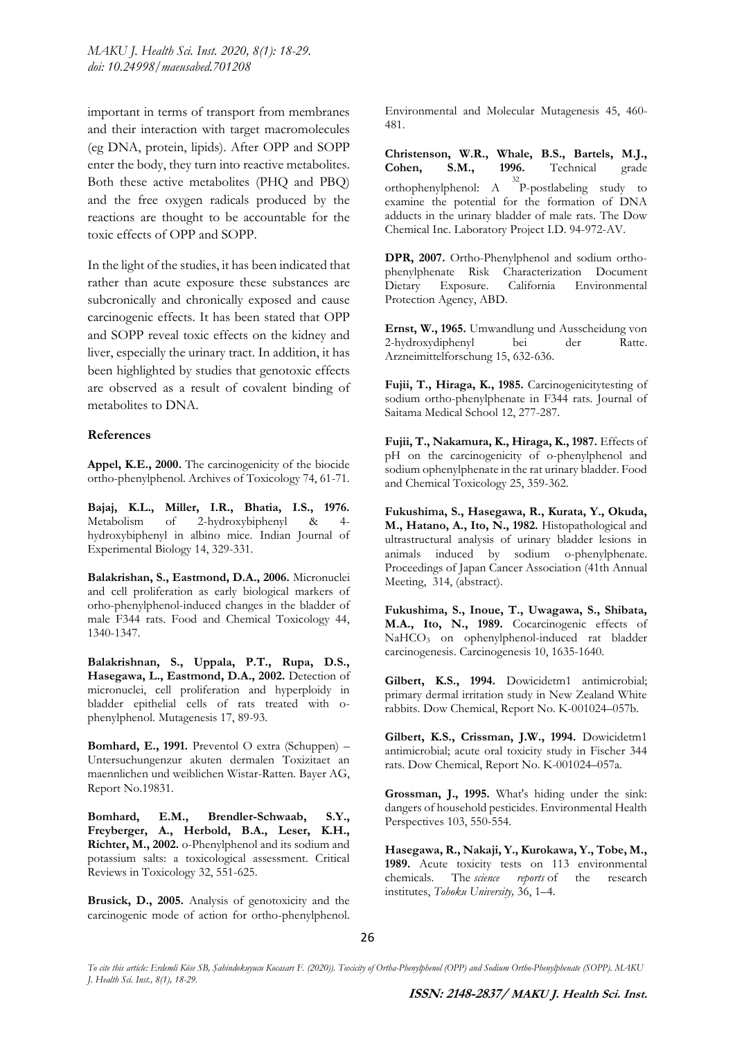important in terms of transport from membranes and their interaction with target macromolecules (eg DNA, protein, lipids). After OPP and SOPP enter the body, they turn into reactive metabolites. Both these active metabolites (PHQ and PBQ) and the free oxygen radicals produced by the reactions are thought to be accountable for the toxic effects of OPP and SOPP.

In the light of the studies, it has been indicated that rather than acute exposure these substances are subcronically and chronically exposed and cause carcinogenic effects. It has been stated that OPP and SOPP reveal toxic effects on the kidney and liver, especially the urinary tract. In addition, it has been highlighted by studies that genotoxic effects are observed as a result of covalent binding of metabolites to DNA.

#### **References**

**Appel, K.E., 2000.** The carcinogenicity of the biocide ortho-phenylphenol. Archives of Toxicology 74, 61-71.

**Bajaj, K.L., Miller, I.R., Bhatia, I.S., 1976.** Metabolism of 2-hydroxybiphenyl & hydroxybiphenyl in albino mice. Indian Journal of Experimental Biology 14, 329-331.

**Balakrishan, S., Eastmond, D.A., 2006.** Micronuclei and cell proliferation as early biological markers of orho-phenylphenol-induced changes in the bladder of male F344 rats. Food and Chemical Toxicology 44, 1340-1347.

**Balakrishnan, S., Uppala, P.T., Rupa, D.S., Hasegawa, L., Eastmond, D.A., 2002.** Detection of micronuclei, cell proliferation and hyperploidy in bladder epithelial cells of rats treated with ophenylphenol. Mutagenesis 17, 89-93.

**Bomhard, E., 1991.** Preventol O extra (Schuppen) – Untersuchungenzur akuten dermalen Toxizitaet an maennlichen und weiblichen Wistar-Ratten. Bayer AG, Report No.19831.

**Bomhard, E.M., Brendler-Schwaab, S.Y., Freyberger, A., Herbold, B.A., Leser, K.H., Richter, M., 2002.** o-Phenylphenol and its sodium and potassium salts: a toxicological assessment. Critical Reviews in Toxicology 32, 551-625.

**Brusick, D., 2005.** Analysis of genotoxicity and the carcinogenic mode of action for ortho-phenylphenol. Environmental and Molecular Mutagenesis 45, 460- 481.

**Christenson, W.R., Whale, B.S., Bartels, M.J., Cohen, S.M., 1996.** Technical grade orthophenylphenol: A 32 P-postlabeling study to examine the potential for the formation of DNA adducts in the urinary bladder of male rats. The Dow Chemical Inc. Laboratory Project I.D. 94-972-AV.

**DPR, 2007.** Ortho-Phenylphenol and sodium orthophenylphenate Risk Characterization Document Dietary Exposure. California Environmental Protection Agency, ABD.

**Ernst, W., 1965.** Umwandlung und Ausscheidung von 2-hydroxydiphenyl bei der Ratte. Arzneimittelforschung 15, 632-636.

**Fujii, T., Hiraga, K., 1985.** Carcinogenicitytesting of sodium ortho-phenylphenate in F344 rats. Journal of Saitama Medical School 12, 277-287.

**Fujii, T., Nakamura, K., Hiraga, K., 1987.** Effects of pH on the carcinogenicity of o-phenylphenol and sodium ophenylphenate in the rat urinary bladder. Food and Chemical Toxicology 25, 359-362.

**Fukushima, S., Hasegawa, R., Kurata, Y., Okuda, M., Hatano, A., Ito, N., 1982.** Histopathological and ultrastructural analysis of urinary bladder lesions in animals induced by sodium o-phenylphenate. Proceedings of Japan Cancer Association (41th Annual Meeting, 314, (abstract).

**Fukushima, S., Inoue, T., Uwagawa, S., Shibata, M.A., Ito, N., 1989.** Cocarcinogenic effects of NaHCO<sub>3</sub> on ophenylphenol-induced rat bladder carcinogenesis. Carcinogenesis 10, 1635-1640.

**Gilbert, K.S., 1994.** Dowicidetm1 antimicrobial; primary dermal irritation study in New Zealand White rabbits. Dow Chemical, Report No. K-001024–057b.

**Gilbert, K.S., Crissman, J.W., 1994.** Dowicidetm1 antimicrobial; acute oral toxicity study in Fischer 344 rats. Dow Chemical, Report No. K-001024–057a.

**Grossman, J., 1995.** What's hiding under the sink: dangers of household pesticides. Environmental Health Perspectives 103, 550-554.

**Hasegawa, R., Nakaji, Y., Kurokawa, Y., Tobe, M., 1989.** Acute toxicity tests on 113 environmental chemicals. The *science reports* of the research institutes, *Tohoku University,* 36, 1–4.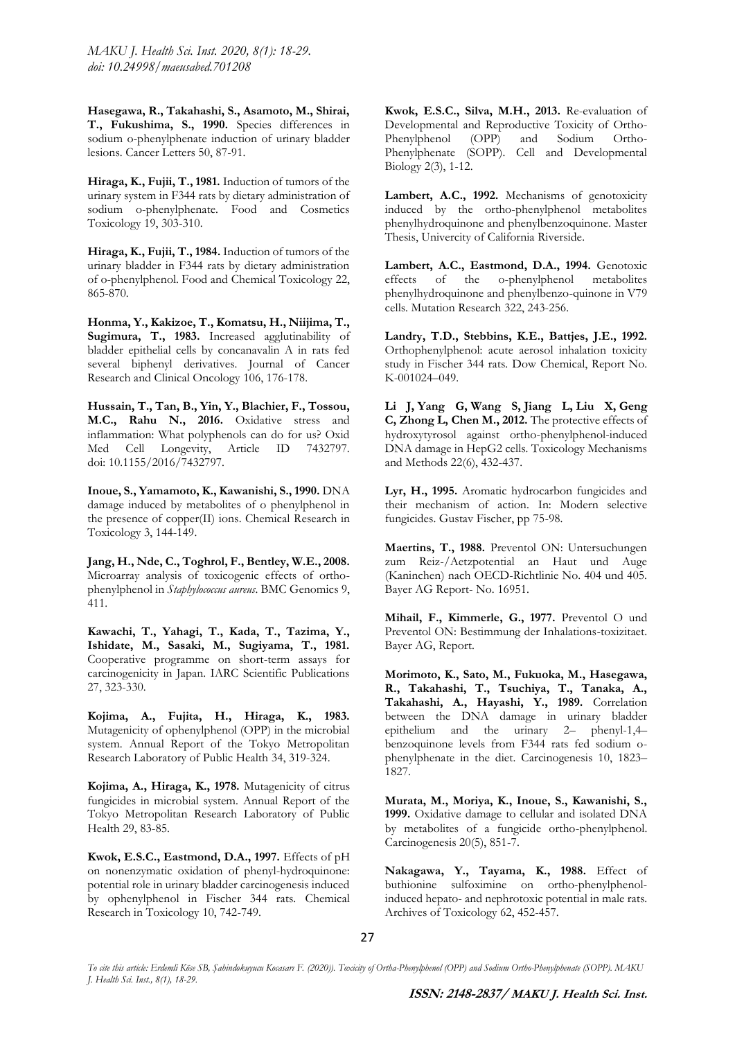*MAKU J. Health Sci. Inst. 2020, 8(1): 18-29. doi: 10.24998/maeusabed.701208*

**Hasegawa, R., Takahashi, S., Asamoto, M., Shirai, T., Fukushima, S., 1990.** Species differences in sodium o-phenylphenate induction of urinary bladder lesions. Cancer Letters 50, 87-91.

**Hiraga, K., Fujii, T., 1981.** Induction of tumors of the urinary system in F344 rats by dietary administration of sodium o-phenylphenate. Food and Cosmetics Toxicology 19, 303-310.

**Hiraga, K., Fujii, T., 1984.** Induction of tumors of the urinary bladder in F344 rats by dietary administration of o-phenylphenol. Food and Chemical Toxicology 22, 865-870.

**Honma, Y., Kakizoe, T., Komatsu, H., Niijima, T., Sugimura, T., 1983.** Increased agglutinability of bladder epithelial cells by concanavalin A in rats fed several biphenyl derivatives. Journal of Cancer Research and Clinical Oncology 106, 176-178.

**Hussain, T., Tan, B., Yin, Y., Blachier, F., Tossou, M.C., Rahu N., 2016.** Oxidative stress and inflammation: What polyphenols can do for us? Oxid Med Cell Longevity, Article ID 7432797. doi: 10.1155/2016/7432797.

**Inoue, S., Yamamoto, K., Kawanishi, S., 1990.** DNA damage induced by metabolites of o phenylphenol in the presence of copper(II) ions. Chemical Research in Toxicology 3, 144-149.

**Jang, H., Nde, C., Toghrol, F., Bentley, W.E., 2008.** Microarray analysis of toxicogenic effects of orthophenylphenol in *Staphylococcus aureus*. BMC Genomics 9, 411.

**Kawachi, T., Yahagi, T., Kada, T., Tazima, Y., Ishidate, M., Sasaki, M., Sugiyama, T., 1981.**  Cooperative programme on short-term assays for carcinogenicity in Japan. IARC Scientific Publications 27, 323-330.

**Kojima, A., Fujita, H., Hiraga, K., 1983.** Mutagenicity of ophenylphenol (OPP) in the microbial system. Annual Report of the Tokyo Metropolitan Research Laboratory of Public Health 34, 319-324.

**Kojima, A., Hiraga, K., 1978.** Mutagenicity of citrus fungicides in microbial system. Annual Report of the Tokyo Metropolitan Research Laboratory of Public Health 29, 83-85.

**Kwok, E.S.C., Eastmond, D.A., 1997.** Effects of pH on nonenzymatic oxidation of phenyl-hydroquinone: potential role in urinary bladder carcinogenesis induced by ophenylphenol in Fischer 344 rats. Chemical Research in Toxicology 10, 742-749.

**Kwok, E.S.C., Silva, M.H., 2013.** Re-evaluation of Developmental and Reproductive Toxicity of Ortho-Phenylphenol (OPP) and Sodium Ortho-Phenylphenate (SOPP). Cell and Developmental Biology 2(3), 1-12.

**Lambert, A.C., 1992.** Mechanisms of genotoxicity induced by the ortho-phenylphenol metabolites phenylhydroquinone and phenylbenzoquinone. Master Thesis, Univercity of California Riverside.

**Lambert, A.C., Eastmond, D.A., 1994.** Genotoxic effects of the o-phenylphenol metabolites phenylhydroquinone and phenylbenzo-quinone in V79 cells. Mutation Research 322, 243-256.

**Landry, T.D., Stebbins, K.E., Battjes, J.E., 1992.** Orthophenylphenol: acute aerosol inhalation toxicity study in Fischer 344 rats. Dow Chemical, Report No. K-001024–049.

**Li J, Yang G, Wang S, Jiang L, Liu X, Geng C, Zhong L, Chen M., 2012.** The protective effects of hydroxytyrosol against ortho-phenylphenol-induced DNA damage in HepG2 cells. Toxicology Mechanisms and Methods 22(6), 432-437.

**Lyr, H., 1995.** Aromatic hydrocarbon fungicides and their mechanism of action. In: Modern selective fungicides. Gustav Fischer, pp 75-98.

**Maertins, T., 1988.** Preventol ON: Untersuchungen zum Reiz-/Aetzpotential an Haut und Auge (Kaninchen) nach OECD-Richtlinie No. 404 und 405. Bayer AG Report- No. 16951.

**Mihail, F., Kimmerle, G., 1977.** Preventol O und Preventol ON: Bestimmung der Inhalations-toxizitaet. Bayer AG, Report.

**Morimoto, K., Sato, M., Fukuoka, M., Hasegawa, R., Takahashi, T., Tsuchiya, T., Tanaka, A., Takahashi, A., Hayashi, Y., 1989.** Correlation between the DNA damage in urinary bladder epithelium and the urinary 2– phenyl-1,4– benzoquinone levels from F344 rats fed sodium ophenylphenate in the diet. Carcinogenesis 10, 1823– 1827.

**Murata, M., Moriya, K., Inoue, S., Kawanishi, S., 1999.** Oxidative damage to cellular and isolated DNA by metabolites of a fungicide ortho-phenylphenol. Carcinogenesis 20(5), 851-7.

**Nakagawa, Y., Tayama, K., 1988.** Effect of buthionine sulfoximine on ortho-phenylphenolinduced hepato- and nephrotoxic potential in male rats. Archives of Toxicology 62, 452-457.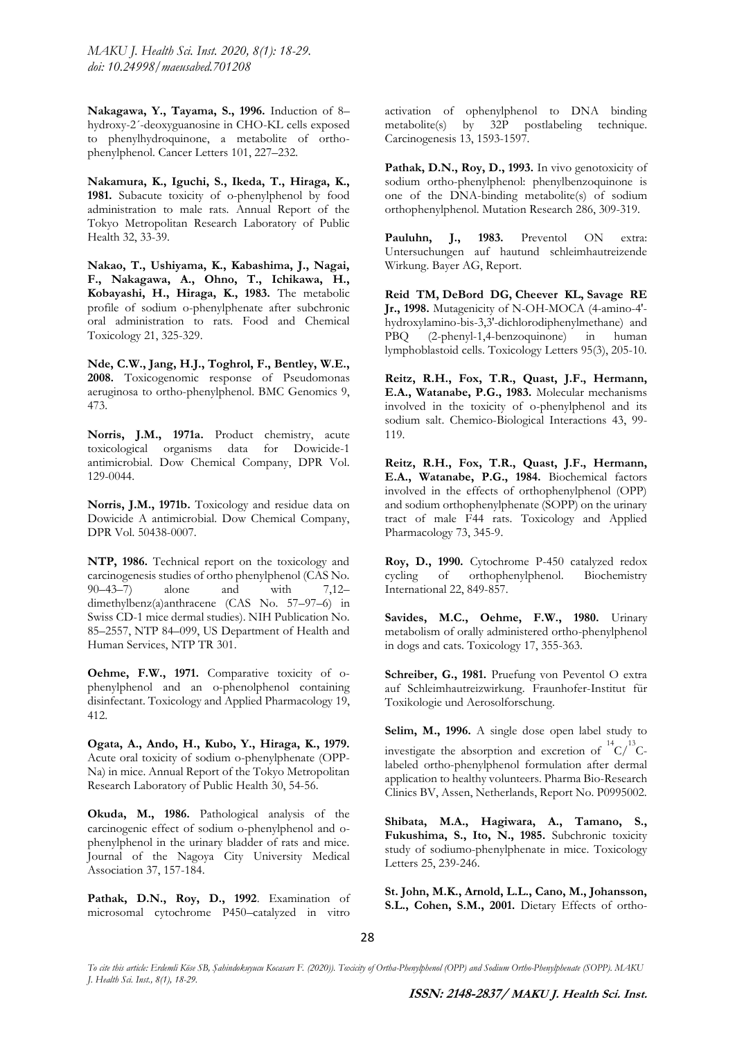*MAKU J. Health Sci. Inst. 2020, 8(1): 18-29. doi: 10.24998/maeusabed.701208*

**Nakagawa, Y., Tayama, S., 1996.** Induction of 8– hydroxy-2´-deoxyguanosine in CHO-KL cells exposed to phenylhydroquinone, a metabolite of orthophenylphenol. Cancer Letters 101, 227–232.

**Nakamura, K., Iguchi, S., Ikeda, T., Hiraga, K., 1981.** Subacute toxicity of o-phenylphenol by food administration to male rats. Annual Report of the Tokyo Metropolitan Research Laboratory of Public Health 32, 33-39.

**Nakao, T., Ushiyama, K., Kabashima, J., Nagai, F., Nakagawa, A., Ohno, T., Ichikawa, H., Kobayashi, H., Hiraga, K., 1983.** The metabolic profile of sodium o-phenylphenate after subchronic oral administration to rats. Food and Chemical Toxicology 21, 325-329.

**Nde, C.W., Jang, H.J., Toghrol, F., Bentley, W.E., 2008.** Toxicogenomic response of Pseudomonas aeruginosa to ortho-phenylphenol. BMC Genomics 9, 473.

**Norris, J.M., 1971a.** Product chemistry, acute toxicological organisms data for Dowicide-1 antimicrobial. Dow Chemical Company, DPR Vol. 129-0044.

**Norris, J.M., 1971b.** Toxicology and residue data on Dowicide A antimicrobial. Dow Chemical Company, DPR Vol. 50438-0007.

**NTP, 1986.** Technical report on the toxicology and carcinogenesis studies of ortho phenylphenol (CAS No. 90–43–7) alone and with 7,12– dimethylbenz(a)anthracene (CAS No. 57–97–6) in Swiss CD-1 mice dermal studies). NIH Publication No. 85–2557, NTP 84–099, US Department of Health and Human Services, NTP TR 301.

**Oehme, F.W., 1971.** Comparative toxicity of ophenylphenol and an o-phenolphenol containing disinfectant. Toxicology and Applied Pharmacology 19, 412.

**Ogata, A., Ando, H., Kubo, Y., Hiraga, K., 1979.** Acute oral toxicity of sodium o-phenylphenate (OPP-Na) in mice. Annual Report of the Tokyo Metropolitan Research Laboratory of Public Health 30, 54-56.

**Okuda, M., 1986.** Pathological analysis of the carcinogenic effect of sodium o-phenylphenol and ophenylphenol in the urinary bladder of rats and mice. Journal of the Nagoya City University Medical Association 37, 157-184.

Pathak, D.N., Roy, D., 1992. Examination of microsomal cytochrome P450–catalyzed in vitro

activation of ophenylphenol to DNA binding metabolite(s) by 32P postlabeling technique. Carcinogenesis 13, 1593-1597.

Pathak, D.N., Roy, D., 1993. In vivo genotoxicity of sodium ortho-phenylphenol: phenylbenzoquinone is one of the DNA-binding metabolite(s) of sodium orthophenylphenol. Mutation Research 286, 309-319.

**Pauluhn, J., 1983.** Preventol ON extra: Untersuchungen auf hautund schleimhautreizende Wirkung. Bayer AG, Report.

**Reid TM, DeBord DG, Cheever KL, Savage RE Jr., 1998.** Mutagenicity of N-OH-MOCA (4-amino-4' hydroxylamino-bis-3,3'-dichlorodiphenylmethane) and PBQ (2-phenyl-1,4-benzoquinone) in human lymphoblastoid cells. Toxicology Letters 95(3), 205-10.

**Reitz, R.H., Fox, T.R., Quast, J.F., Hermann, E.A., Watanabe, P.G., 1983.** Molecular mechanisms involved in the toxicity of o-phenylphenol and its sodium salt. Chemico-Biological Interactions 43, 99- 119.

**Reitz, R.H., Fox, T.R., Quast, J.F., Hermann, E.A., Watanabe, P.G., 1984.** Biochemical factors involved in the effects of orthophenylphenol (OPP) and sodium orthophenylphenate (SOPP) on the urinary tract of male F44 rats. Toxicology and Applied Pharmacology 73, 345-9.

**Roy, D., 1990.** Cytochrome P-450 catalyzed redox cycling of orthophenylphenol. Biochemistry International 22, 849-857.

Savides, M.C., Oehme, F.W., 1980. Urinary metabolism of orally administered ortho-phenylphenol in dogs and cats. Toxicology 17, 355-363.

**Schreiber, G., 1981.** Pruefung von Peventol O extra auf Schleimhautreizwirkung. Fraunhofer-Institut für Toxikologie und Aerosolforschung.

**Selim, M., 1996.** A single dose open label study to investigate the absorption and excretion of  ${}^{14}C/{}^{13}C$ labeled ortho-phenylphenol formulation after dermal application to healthy volunteers. Pharma Bio-Research Clinics BV, Assen, Netherlands, Report No. P0995002.

**Shibata, M.A., Hagiwara, A., Tamano, S., Fukushima, S., Ito, N., 1985.** Subchronic toxicity study of sodiumo-phenylphenate in mice. Toxicology Letters 25, 239-246.

**St. John, M.K., Arnold, L.L., Cano, M., Johansson, S.L., Cohen, S.M., 2001.** Dietary Effects of ortho